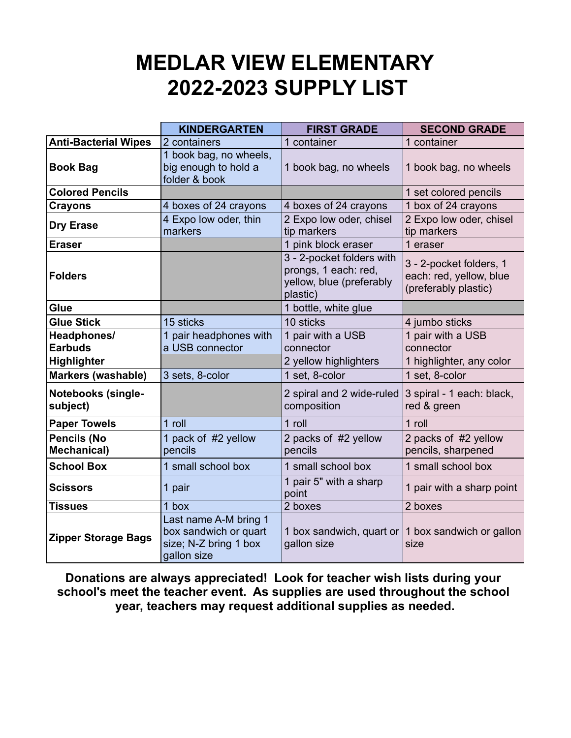## **MEDLAR VIEW ELEMENTARY 2022-2023 SUPPLY LIST**

|                                          | <b>KINDERGARTEN</b>                                                                    | <b>FIRST GRADE</b>                                                                        | <b>SECOND GRADE</b>                                                        |
|------------------------------------------|----------------------------------------------------------------------------------------|-------------------------------------------------------------------------------------------|----------------------------------------------------------------------------|
| <b>Anti-Bacterial Wipes</b>              | 2 containers                                                                           | 1 container                                                                               | 1 container                                                                |
| <b>Book Bag</b>                          | 1 book bag, no wheels,<br>big enough to hold a<br>folder & book                        | 1 book bag, no wheels                                                                     | 1 book bag, no wheels                                                      |
| <b>Colored Pencils</b>                   |                                                                                        |                                                                                           | 1 set colored pencils                                                      |
| <b>Crayons</b>                           | 4 boxes of 24 crayons                                                                  | 4 boxes of 24 crayons                                                                     | 1 box of 24 crayons                                                        |
| <b>Dry Erase</b>                         | 4 Expo low oder, thin<br>markers                                                       | 2 Expo low oder, chisel<br>tip markers                                                    | 2 Expo low oder, chisel<br>tip markers                                     |
| <b>Eraser</b>                            |                                                                                        | 1 pink block eraser                                                                       | 1 eraser                                                                   |
| <b>Folders</b>                           |                                                                                        | 3 - 2-pocket folders with<br>prongs, 1 each: red,<br>yellow, blue (preferably<br>plastic) | 3 - 2-pocket folders, 1<br>each: red, yellow, blue<br>(preferably plastic) |
| Glue                                     |                                                                                        | 1 bottle, white glue                                                                      |                                                                            |
| <b>Glue Stick</b>                        | 15 sticks                                                                              | 10 sticks                                                                                 | 4 jumbo sticks                                                             |
| Headphones/<br><b>Earbuds</b>            | 1 pair headphones with<br>a USB connector                                              | 1 pair with a USB<br>connector                                                            | 1 pair with a USB<br>connector                                             |
| Highlighter                              |                                                                                        | 2 yellow highlighters                                                                     | 1 highlighter, any color                                                   |
| <b>Markers (washable)</b>                | 3 sets, 8-color                                                                        | 1 set, 8-color                                                                            | 1 set, 8-color                                                             |
| <b>Notebooks (single-</b><br>subject)    |                                                                                        | 2 spiral and 2 wide-ruled<br>composition                                                  | 3 spiral - 1 each: black,<br>red & green                                   |
| <b>Paper Towels</b>                      | 1 roll                                                                                 | 1 roll                                                                                    | 1 roll                                                                     |
| <b>Pencils (No</b><br><b>Mechanical)</b> | 1 pack of #2 yellow<br>pencils                                                         | 2 packs of #2 yellow<br>pencils                                                           | 2 packs of #2 yellow<br>pencils, sharpened                                 |
| <b>School Box</b>                        | 1 small school box                                                                     | 1 small school box                                                                        | 1 small school box                                                         |
| <b>Scissors</b>                          | 1 pair                                                                                 | 1 pair 5" with a sharp<br>point                                                           | 1 pair with a sharp point                                                  |
| <b>Tissues</b>                           | 1 box                                                                                  | 2 boxes                                                                                   | 2 boxes                                                                    |
| <b>Zipper Storage Bags</b>               | Last name A-M bring 1<br>box sandwich or quart<br>size; N-Z bring 1 box<br>gallon size | gallon size                                                                               | 1 box sandwich, quart or $\vert$ 1 box sandwich or gallon<br>size          |

**Donations are always appreciated! Look for teacher wish lists during your school's meet the teacher event. As supplies are used throughout the school year, teachers may request additional supplies as needed.**